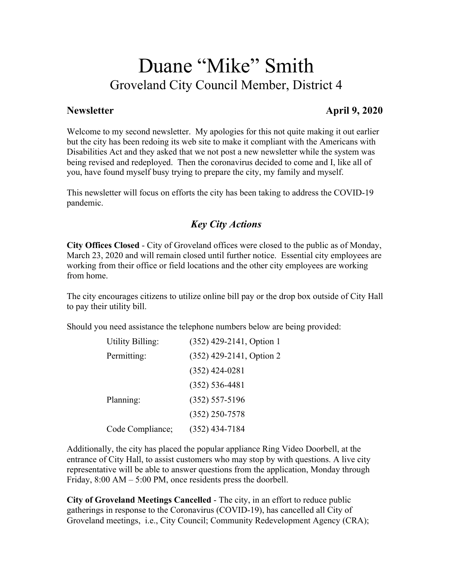# Duane "Mike" Smith Groveland City Council Member, District 4

#### **Newsletter April 9, 2020**

Welcome to my second newsletter. My apologies for this not quite making it out earlier but the city has been redoing its web site to make it compliant with the Americans with Disabilities Act and they asked that we not post a new newsletter while the system was being revised and redeployed. Then the coronavirus decided to come and I, like all of you, have found myself busy trying to prepare the city, my family and myself.

This newsletter will focus on efforts the city has been taking to address the COVID-19 pandemic.

#### *Key City Actions*

 **City Offices Closed** - City of Groveland offices were closed to the public as of Monday, March 23, 2020 and will remain closed until further notice. Essential city employees are working from their office or field locations and the other city employees are working from home.

 The city encourages citizens to utilize online bill pay or the drop box outside of City Hall to pay their utility bill.

Should you need assistance the telephone numbers below are being provided:

| <b>Utility Billing:</b> | (352) 429-2141, Option 1 |
|-------------------------|--------------------------|
| Permitting:             | (352) 429-2141, Option 2 |
|                         | $(352)$ 424-0281         |
|                         | $(352) 536 - 4481$       |
| Planning:               | $(352) 557 - 5196$       |
|                         | $(352)$ 250-7578         |
| Code Compliance;        | $(352)$ 434-7184         |

Additionally, the city has placed the popular appliance Ring Video Doorbell, at the entrance of City Hall, to assist customers who may stop by with questions. A live city representative will be able to answer questions from the application, Monday through Friday, 8:00 AM – 5:00 PM, once residents press the doorbell.

 **City of Groveland Meetings Cancelled** - The city, in an effort to reduce public gatherings in response to the Coronavirus (COVID-19), has cancelled all City of Groveland meetings, i.e., City Council; Community Redevelopment Agency (CRA);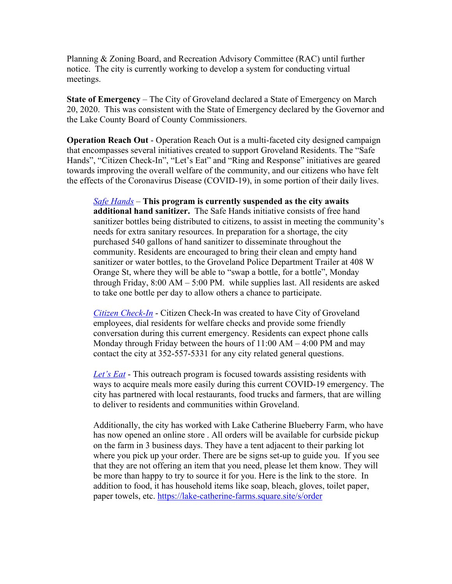notice. The city is currently working to develop a system for conducting virtual Planning & Zoning Board, and Recreation Advisory Committee (RAC) until further meetings.

 **State of Emergency** – The City of Groveland declared a State of Emergency on March 20, 2020. This was consistent with the State of Emergency declared by the Governor and the Lake County Board of County Commissioners.

 **Operation Reach Out** - Operation Reach Out is a multi-faceted city designed campaign that encompasses several initiatives created to support Groveland Residents. The "Safe Hands", "Citizen Check-In", "Let's Eat" and "Ring and Response" initiatives are geared towards improving the overall welfare of the community, and our citizens who have felt the effects of the Coronavirus Disease (COVID-19), in some portion of their daily lives.

 *Safe Hands* – **This program is currently suspended as the city awaits additional hand sanitizer.** The Safe Hands initiative consists of free hand through Friday, 8:00 AM – 5:00 PM. while supplies last. All residents are asked sanitizer bottles being distributed to citizens, to assist in meeting the community's needs for extra sanitary resources. In preparation for a shortage, the city purchased 540 gallons of hand sanitizer to disseminate throughout the community. Residents are encouraged to bring their clean and empty hand sanitizer or water bottles, to the Groveland Police Department Trailer at 408 W Orange St, where they will be able to "swap a bottle, for a bottle", Monday to take one bottle per day to allow others a chance to participate.

 *Citizen Check-In* - Citizen Check-In was created to have City of Groveland Monday through Friday between the hours of 11:00 AM – 4:00 PM and may employees, dial residents for welfare checks and provide some friendly conversation during this current emergency. Residents can expect phone calls contact the city at 352-557-5331 for any city related general questions.

 *Let's Eat* - This outreach program is focused towards assisting residents with ways to acquire meals more easily during this current COVID-19 emergency. The city has partnered with local restaurants, food trucks and farmers, that are willing to deliver to residents and communities within Groveland.

Additionally, the city has worked with Lake Catherine Blueberry Farm, who have has now opened an online store . All orders will be available for curbside pickup on the farm in 3 business days. They have a tent adjacent to their parking lot where you pick up your order. There are be signs set-up to guide you. If you see that they are not offering an item that you need, please let them know. They will be more than happy to try to source it for you. Here is the link to the store. In addition to food, it has household items like soap, bleach, gloves, toilet paper, paper towels, etc. https://lake-catherine-farms.square.site/s/order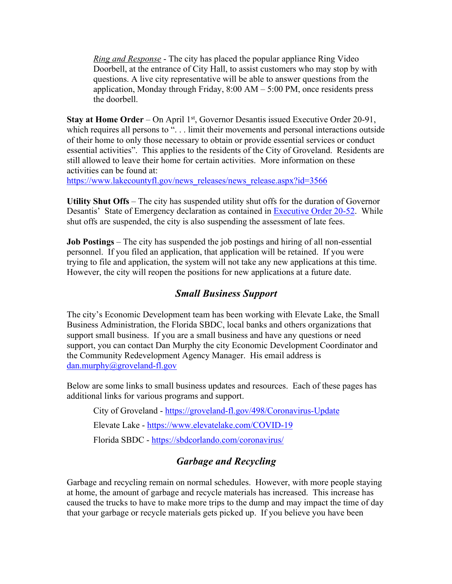*Ring and Response* - The city has placed the popular appliance Ring Video application, Monday through Friday, 8:00 AM – 5:00 PM, once residents press Doorbell, at the entrance of City Hall, to assist customers who may stop by with questions. A live city representative will be able to answer questions from the the doorbell.

**Stay at Home Order** – On April 1<sup>st</sup>, Governor Desantis issued Executive Order 20-91, essential activities". This applies to the residents of the City of Groveland. Residents are which requires all persons to "... limit their movements and personal interactions outside of their home to only those necessary to obtain or provide essential services or conduct still allowed to leave their home for certain activities. More information on these activities can be found at:

https://www.lakecountyfl.gov/news\_releases/news\_release.aspx?id=3566

 **Utility Shut Offs** – The city has suspended utility shut offs for the duration of Governor Desantis' State of Emergency declaration as contained in **Executive Order 20-52**. While shut offs are suspended, the city is also suspending the assessment of late fees.

 **Job Postings** – The city has suspended the job postings and hiring of all non-essential personnel. If you filed an application, that application will be retained. If you were trying to file and application, the system will not take any new applications at this time. However, the city will reopen the positions for new applications at a future date.

#### *Small Business Support*

 $d$ an.murphy@groveland-fl.gov The city's Economic Development team has been working with Elevate Lake, the Small Business Administration, the Florida SBDC, local banks and others organizations that support small business. If you are a small business and have any questions or need support, you can contact Dan Murphy the city Economic Development Coordinator and the Community Redevelopment Agency Manager. His email address is

Below are some links to small business updates and resources. Each of these pages has additional links for various programs and support.

City of Groveland - <u>https://groveland-fl.gov/498/Coronavirus-Update</u><br>Elevate Lake - <u>https://www.elevatelake.com/COVID-19</u>

Elevate Lake - https://www.elevatelake.com/COVID-19

Florida SBDC - https://sbdcorlando.com/coronavirus/

## *Garbage and Recycling*

Garbage and recycling remain on normal schedules. However, with more people staying at home, the amount of garbage and recycle materials has increased. This increase has caused the trucks to have to make more trips to the dump and may impact the time of day that your garbage or recycle materials gets picked up. If you believe you have been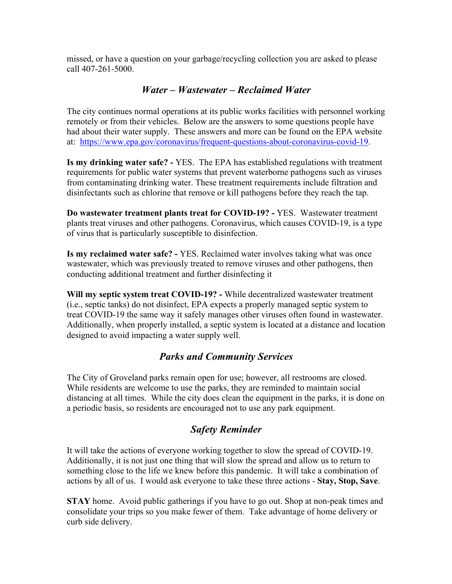missed, or have a question on your garbage/recycling collection you are asked to please call 407-261-5000.

#### *Water – Wastewater – Reclaimed Water*

 remotely or from their vehicles. Below are the answers to some questions people have at: https://www.epa.gov/coronavirus/frequent-questions-about-coronavirus-covid-19. The city continues normal operations at its public works facilities with personnel working had about their water supply. These answers and more can be found on the EPA website

 **Is my drinking water safe? -** YES. The EPA has established regulations with treatment requirements for public water systems that prevent waterborne pathogens such as viruses from contaminating drinking water. These treatment requirements include filtration and disinfectants such as chlorine that remove or kill pathogens before they reach the tap.

 **Do wastewater treatment plants treat for COVID-19? -** YES. Wastewater treatment plants treat viruses and other pathogens. Coronavirus, which causes COVID-19, is a type of virus that is particularly susceptible to disinfection.

 **Is my reclaimed water safe? -** YES. Reclaimed water involves taking what was once wastewater, which was previously treated to remove viruses and other pathogens, then conducting additional treatment and further disinfecting it

 **Will my septic system treat COVID-19? -** While decentralized wastewater treatment (i.e., septic tanks) do not disinfect, EPA expects a properly managed septic system to treat COVID-19 the same way it safely manages other viruses often found in wastewater. Additionally, when properly installed, a septic system is located at a distance and location designed to avoid impacting a water supply well.

#### *Parks and Community Services*

The City of Groveland parks remain open for use; however, all restrooms are closed. While residents are welcome to use the parks, they are reminded to maintain social distancing at all times. While the city does clean the equipment in the parks, it is done on a periodic basis, so residents are encouraged not to use any park equipment.

## *Safety Reminder*

 actions by all of us. I would ask everyone to take these three actions - **Stay, Stop, Save**. It will take the actions of everyone working together to slow the spread of COVID-19. Additionally, it is not just one thing that will slow the spread and allow us to return to something close to the life we knew before this pandemic. It will take a combination of

**STAY** home. Avoid public gatherings if you have to go out. Shop at non-peak times and consolidate your trips so you make fewer of them. Take advantage of home delivery or curb side delivery.